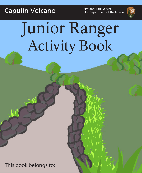Capulin Volcano<br>
U.S. Department of the

U.S. Department of the Interior



# Junior Ranger Activity Book

This book belongs to: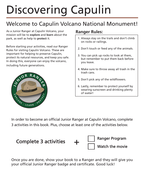## Discovering Capulin

#### Welcome to Capulin Volcano National Monument!

As a Junior Ranger at Capulin Volcano, your mission will be to **explore** and **learn** about the park, as well as help to **protect** it.

Before starting your activities, read our Ranger Rules for visiting Capulin Volcano. These are important for helping to preserve Capulin, protect its natural resources, and keep you safe. In doing this, everyone can enjoy the volcano, including future generations.



#### **Ranger Rules:**

- 1. Always stay on the trails and don't climb on rocks or railings.
- 2. Don't touch or feed any of the animals.
- 3. You can pick up rocks to look at them, but remember to put them back before you leave.
- 4. Make sure to throw away all trash in the trash cans.
- 5. Don't pick any of the wildflowers.
- 6. Lastly, remember to protect yourself by wearing sunscreen and drinking plenty of water!

In order to become an official Junior Ranger at Capulin Volcano, complete 3 activities in this book. Plus, choose at least one of the activities below.



Once you are done, show your book to a Ranger and they will give you your official Junior Ranger badge and certificate. Good luck!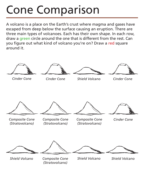#### Cone Comparison

A volcano is a place on the Earth's crust where magma and gases have escaped from deep below the surface causing an eruption. There are three main types of volcanoes. Each has their own shape. In each row, draw a green circle around the one that is different from the rest. Can you figure out what kind of volcano you're on? Draw a red square around it.

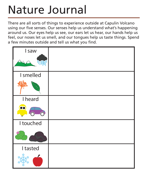#### Nature Journal

There are all sorts of things to experience outside at Capulin Volcano using our five senses. Our senses help us understand what's happening around us. Our eyes help us see, our ears let us hear, our hands help us feel, our noses let us smell, and our tongues help us taste things. Spend a few minutes outside and tell us what you find.

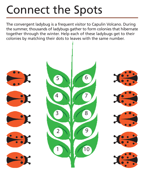#### Connect the Spots

The convergent ladybug is a frequent visitor to Capulin Volcano. During the summer, thousands of ladybugs gather to form colonies that hibernate together through the winter. Help each of these ladybugs get to their colonies by matching their dots to leaves with the same number.

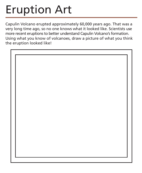### Eruption Art

Capulin Volcano erupted approximately 60,000 years ago. That was a very long time ago, so no one knows what it looked like. Scientists use more recent eruptions to better understand Capulin Volcano's formation. Using what you know of volcanoes, draw a picture of what you think the eruption looked like!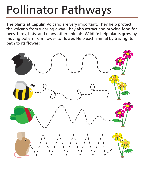### Pollinator Pathways

The plants at Capulin Volcano are very important. They help protect the volcano from wearing away. They also attract and provide food for bees, birds, bats, and many other animals. Wildlife help plants grow by moving pollen from flower to flower. Help each animal by tracing its path to its flower!